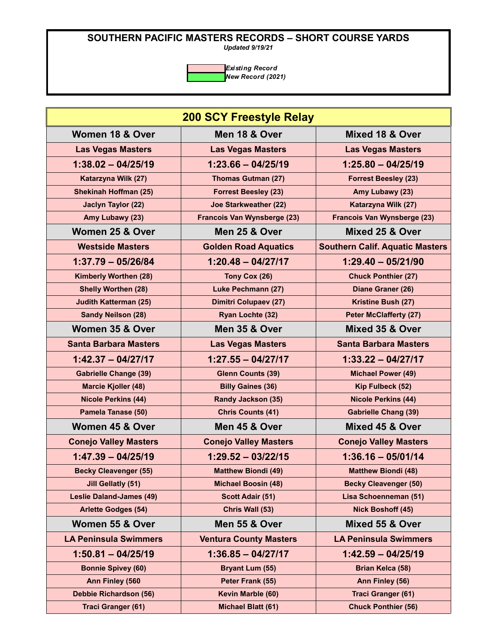*Updated 9/19/21*

| <b>200 SCY Freestyle Relay</b>  |                               |                                        |
|---------------------------------|-------------------------------|----------------------------------------|
| <b>Women 18 &amp; Over</b>      | Men 18 & Over                 | Mixed 18 & Over                        |
| <b>Las Vegas Masters</b>        | <b>Las Vegas Masters</b>      | <b>Las Vegas Masters</b>               |
| $1:38.02 - 04/25/19$            | $1:23.66 - 04/25/19$          | $1:25.80 - 04/25/19$                   |
| Katarzyna Wilk (27)             | <b>Thomas Gutman (27)</b>     | <b>Forrest Beesley (23)</b>            |
| <b>Shekinah Hoffman (25)</b>    | <b>Forrest Beesley (23)</b>   | Amy Lubawy (23)                        |
| Jaclyn Taylor (22)              | <b>Joe Starkweather (22)</b>  | Katarzyna Wilk (27)                    |
| Amy Lubawy (23)                 | Francois Van Wynsberge (23)   | Francois Van Wynsberge (23)            |
| Women 25 & Over                 | Men 25 & Over                 | Mixed 25 & Over                        |
| <b>Westside Masters</b>         | <b>Golden Road Aquatics</b>   | <b>Southern Calif. Aquatic Masters</b> |
| $1:37.79 - 05/26/84$            | $1:20.48 - 04/27/17$          | $1:29.40 - 05/21/90$                   |
| <b>Kimberly Worthen (28)</b>    | Tony Cox (26)                 | <b>Chuck Ponthier (27)</b>             |
| <b>Shelly Worthen (28)</b>      | <b>Luke Pechmann (27)</b>     | Diane Graner (26)                      |
| <b>Judith Katterman (25)</b>    | <b>Dimitri Colupaev (27)</b>  | Kristine Bush (27)                     |
| <b>Sandy Neilson (28)</b>       | Ryan Lochte (32)              | <b>Peter McClafferty (27)</b>          |
| Women 35 & Over                 | Men 35 & Over                 | Mixed 35 & Over                        |
| <b>Santa Barbara Masters</b>    | <b>Las Vegas Masters</b>      | <b>Santa Barbara Masters</b>           |
| $1:42.37 - 04/27/17$            | $1:27.55 - 04/27/17$          | $1:33.22 - 04/27/17$                   |
| <b>Gabrielle Change (39)</b>    | <b>Glenn Counts (39)</b>      | <b>Michael Power (49)</b>              |
| <b>Marcie Kjoller (48)</b>      | <b>Billy Gaines (36)</b>      | Kip Fulbeck (52)                       |
| <b>Nicole Perkins (44)</b>      | <b>Randy Jackson (35)</b>     | <b>Nicole Perkins (44)</b>             |
| Pamela Tanase (50)              | <b>Chris Counts (41)</b>      | <b>Gabrielle Chang (39)</b>            |
| Women 45 & Over                 | Men 45 & Over                 | Mixed 45 & Over                        |
| <b>Conejo Valley Masters</b>    | <b>Conejo Valley Masters</b>  | <b>Conejo Valley Masters</b>           |
| $1:47.39 - 04/25/19$            | $1:29.52 - 03/22/15$          | $1:36.16 - 05/01/14$                   |
| <b>Becky Cleavenger (55)</b>    | <b>Matthew Biondi (49)</b>    | <b>Matthew Biondi (48)</b>             |
| <b>Jill Gellatly (51)</b>       | <b>Michael Boosin (48)</b>    | <b>Becky Cleavenger (50)</b>           |
| <b>Leslie Daland-James (49)</b> | <b>Scott Adair (51)</b>       | Lisa Schoenneman (51)                  |
| <b>Arlette Godges (54)</b>      | Chris Wall (53)               | <b>Nick Boshoff (45)</b>               |
| Women 55 & Over                 | Men 55 & Over                 | Mixed 55 & Over                        |
| <b>LA Peninsula Swimmers</b>    | <b>Ventura County Masters</b> | <b>LA Peninsula Swimmers</b>           |
| $1:50.81 - 04/25/19$            | $1:36.85 - 04/27/17$          | $1:42.59 - 04/25/19$                   |
| <b>Bonnie Spivey (60)</b>       | <b>Bryant Lum (55)</b>        | <b>Brian Kelca (58)</b>                |
| Ann Finley (560                 | Peter Frank (55)              | Ann Finley (56)                        |
| Debbie Richardson (56)          | Kevin Marble (60)             | Traci Granger (61)                     |
| Traci Granger (61)              | Michael Blatt (61)            | <b>Chuck Ponthier (56)</b>             |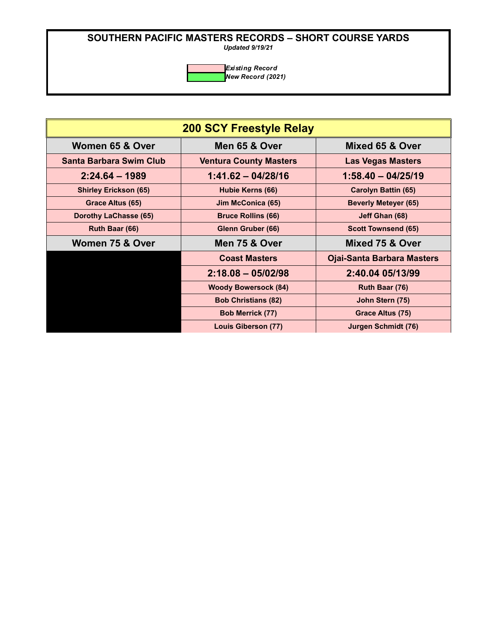*Updated 9/19/21*



| <b>200 SCY Freestyle Relay</b> |                               |                                   |
|--------------------------------|-------------------------------|-----------------------------------|
| Women 65 & Over                | Men 65 & Over                 | Mixed 65 & Over                   |
| Santa Barbara Swim Club        | <b>Ventura County Masters</b> | <b>Las Vegas Masters</b>          |
| $2:24.64 - 1989$               | $1:41.62 - 04/28/16$          | $1:58.40 - 04/25/19$              |
| <b>Shirley Erickson (65)</b>   | Hubie Kerns (66)              | <b>Carolyn Battin (65)</b>        |
| Grace Altus (65)               | Jim McConica (65)             | <b>Beverly Meteyer (65)</b>       |
| <b>Dorothy LaChasse (65)</b>   | <b>Bruce Rollins (66)</b>     | Jeff Ghan (68)                    |
| Ruth Baar (66)                 | Glenn Gruber (66)             | <b>Scott Townsend (65)</b>        |
| Women 75 & Over                | Men 75 & Over                 | Mixed 75 & Over                   |
|                                | <b>Coast Masters</b>          | <b>Ojai-Santa Barbara Masters</b> |
|                                | $2:18.08 - 05/02/98$          | 2:40.04 05/13/99                  |
|                                | <b>Woody Bowersock (84)</b>   | Ruth Baar (76)                    |
|                                | <b>Bob Christians (82)</b>    | John Stern (75)                   |
|                                | <b>Bob Merrick (77)</b>       | Grace Altus (75)                  |
|                                | <b>Louis Giberson (77)</b>    | <b>Jurgen Schmidt (76)</b>        |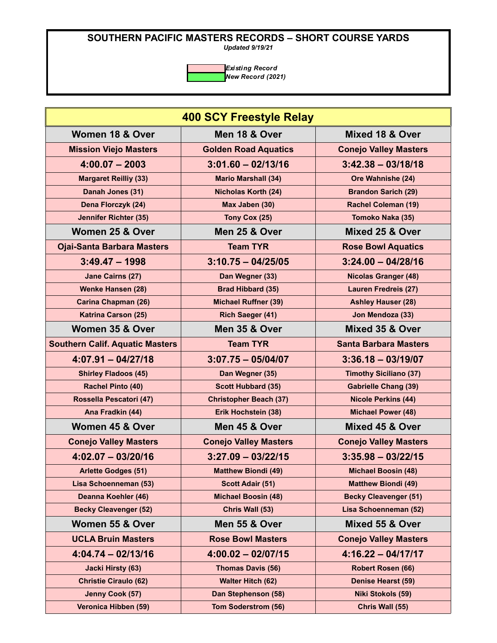*Updated 9/19/21*

| <b>400 SCY Freestyle Relay</b>         |                               |                               |
|----------------------------------------|-------------------------------|-------------------------------|
| Women 18 & Over                        | Men 18 & Over                 | Mixed 18 & Over               |
| <b>Mission Viejo Masters</b>           | <b>Golden Road Aquatics</b>   | <b>Conejo Valley Masters</b>  |
| $4:00.07 - 2003$                       | $3:01.60 - 02/13/16$          | $3:42.38 - 03/18/18$          |
| <b>Margaret Reilliy (33)</b>           | <b>Mario Marshall (34)</b>    | Ore Wahnishe (24)             |
| Danah Jones (31)                       | <b>Nicholas Korth (24)</b>    | <b>Brandon Sarich (29)</b>    |
| Dena Florczyk (24)                     | Max Jaben (30)                | <b>Rachel Coleman (19)</b>    |
| <b>Jennifer Richter (35)</b>           | Tony Cox (25)                 | Tomoko Naka (35)              |
| Women 25 & Over                        | Men 25 & Over                 | Mixed 25 & Over               |
| <b>Ojai-Santa Barbara Masters</b>      | <b>Team TYR</b>               | <b>Rose Bowl Aquatics</b>     |
| $3:49.47 - 1998$                       | $3:10.75 - 04/25/05$          | $3:24.00 - 04/28/16$          |
| <b>Jane Cairns (27)</b>                | Dan Wegner (33)               | <b>Nicolas Granger (48)</b>   |
| <b>Wenke Hansen (28)</b>               | <b>Brad Hibbard (35)</b>      | <b>Lauren Fredreis (27)</b>   |
| <b>Carina Chapman (26)</b>             | <b>Michael Ruffner (39)</b>   | <b>Ashley Hauser (28)</b>     |
| <b>Katrina Carson (25)</b>             | <b>Rich Saeger (41)</b>       | Jon Mendoza (33)              |
| Women 35 & Over                        | Men 35 & Over                 | Mixed 35 & Over               |
| <b>Southern Calif. Aquatic Masters</b> | <b>Team TYR</b>               | <b>Santa Barbara Masters</b>  |
| $4:07.91 - 04/27/18$                   | $3:07.75 - 05/04/07$          | $3:36.18 - 03/19/07$          |
| <b>Shirley Fladoos (45)</b>            | Dan Wegner (35)               | <b>Timothy Siciliano (37)</b> |
| Rachel Pinto (40)                      | <b>Scott Hubbard (35)</b>     | <b>Gabrielle Chang (39)</b>   |
| Rossella Pescatori (47)                | <b>Christopher Beach (37)</b> | <b>Nicole Perkins (44)</b>    |
| Ana Fradkin (44)                       | Erik Hochstein (38)           | <b>Michael Power (48)</b>     |
| Women 45 & Over                        | Men 45 & Over                 | Mixed 45 & Over               |
| <b>Conejo Valley Masters</b>           | <b>Conejo Valley Masters</b>  | <b>Conejo Valley Masters</b>  |
| $4:02.07 - 03/20/16$                   | $3:27.09 - 03/22/15$          | $3:35.98 - 03/22/15$          |
| <b>Arlette Godges (51)</b>             | <b>Matthew Biondi (49)</b>    | <b>Michael Boosin (48)</b>    |
| Lisa Schoenneman (53)                  | Scott Adair (51)              | <b>Matthew Biondi (49)</b>    |
| Deanna Koehler (46)                    | <b>Michael Boosin (48)</b>    | <b>Becky Cleavenger (51)</b>  |
| <b>Becky Cleavenger (52)</b>           | Chris Wall (53)               | Lisa Schoenneman (52)         |
| Women 55 & Over                        | Men 55 & Over                 | Mixed 55 & Over               |
| <b>UCLA Bruin Masters</b>              | <b>Rose Bowl Masters</b>      | <b>Conejo Valley Masters</b>  |
| $4:04.74 - 02/13/16$                   | $4:00.02 - 02/07/15$          | $4:16.22 - 04/17/17$          |
| <b>Jacki Hirsty (63)</b>               | <b>Thomas Davis (56)</b>      | Robert Rosen (66)             |
| <b>Christie Ciraulo (62)</b>           | <b>Walter Hitch (62)</b>      | Denise Hearst (59)            |
| Jenny Cook (57)                        | Dan Stephenson (58)           | Niki Stokols (59)             |
| Veronica Hibben (59)                   | Tom Soderstrom (56)           | Chris Wall (55)               |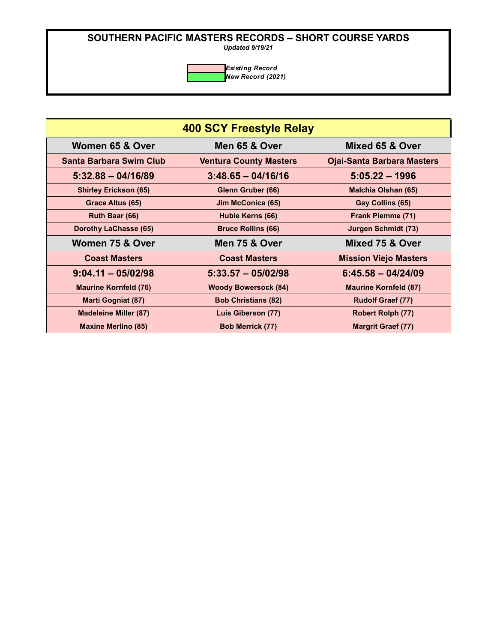*Updated 9/19/21*



| 400 SCY Freestyle Relay      |                               |                                   |
|------------------------------|-------------------------------|-----------------------------------|
| Women 65 & Over              | Men 65 & Over                 | Mixed 65 & Over                   |
| Santa Barbara Swim Club      | <b>Ventura County Masters</b> | <b>Ojai-Santa Barbara Masters</b> |
| $5:32.88 - 04/16/89$         | $3:48.65 - 04/16/16$          | $5:05.22 - 1996$                  |
| <b>Shirley Erickson (65)</b> | Glenn Gruber (66)             | <b>Malchia Olshan (65)</b>        |
| Grace Altus (65)             | Jim McConica (65)             | Gay Collins (65)                  |
| Ruth Baar (66)               | Hubie Kerns (66)              | Frank Piemme (71)                 |
| Dorothy LaChasse (65)        | <b>Bruce Rollins (66)</b>     | <b>Jurgen Schmidt (73)</b>        |
| Women 75 & Over              | Men 75 & Over                 | Mixed 75 & Over                   |
| <b>Coast Masters</b>         | <b>Coast Masters</b>          | <b>Mission Viejo Masters</b>      |
| $9:04.11 - 05/02/98$         | $5:33.57 - 05/02/98$          | $6:45.58 - 04/24/09$              |
| <b>Maurine Kornfeld (76)</b> | <b>Woody Bowersock (84)</b>   | <b>Maurine Kornfeld (87)</b>      |
| <b>Marti Gogniat (87)</b>    | <b>Bob Christians (82)</b>    | <b>Rudolf Graef (77)</b>          |
| <b>Madeleine Miller (87)</b> | Luis Giberson (77)            | <b>Robert Rolph (77)</b>          |
| <b>Maxine Merlino (85)</b>   | <b>Bob Merrick (77)</b>       | <b>Margrit Graef (77)</b>         |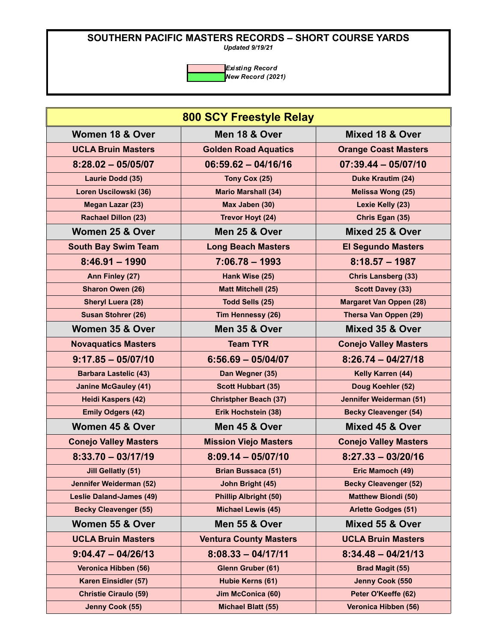*Updated 9/19/21*

| 800 SCY Freestyle Relay         |                               |                                |
|---------------------------------|-------------------------------|--------------------------------|
| <b>Women 18 &amp; Over</b>      | Men 18 & Over                 | <b>Mixed 18 &amp; Over</b>     |
| <b>UCLA Bruin Masters</b>       | <b>Golden Road Aquatics</b>   | <b>Orange Coast Masters</b>    |
| $8:28.02 - 05/05/07$            | $06:59.62 - 04/16/16$         | $07:39.44 - 05/07/10$          |
| Laurie Dodd (35)                | Tony Cox (25)                 | Duke Krautim (24)              |
| Loren Uscilowski (36)           | <b>Mario Marshall (34)</b>    | <b>Melissa Wong (25)</b>       |
| Megan Lazar (23)                | Max Jaben (30)                | Lexie Kelly (23)               |
| <b>Rachael Dillon (23)</b>      | <b>Trevor Hoyt (24)</b>       | Chris Egan (35)                |
| Women 25 & Over                 | Men 25 & Over                 | Mixed 25 & Over                |
| <b>South Bay Swim Team</b>      | <b>Long Beach Masters</b>     | <b>El Segundo Masters</b>      |
| $8:46.91 - 1990$                | $7:06.78 - 1993$              | $8:18.57 - 1987$               |
| Ann Finley (27)                 | Hank Wise (25)                | <b>Chris Lansberg (33)</b>     |
| Sharon Owen (26)                | <b>Matt Mitchell (25)</b>     | <b>Scott Davey (33)</b>        |
| <b>Sheryl Luera (28)</b>        | Todd Sells (25)               | <b>Margaret Van Oppen (28)</b> |
| <b>Susan Stohrer (26)</b>       | Tim Hennessy (26)             | Thersa Van Oppen (29)          |
| Women 35 & Over                 | Men 35 & Over                 | Mixed 35 & Over                |
| <b>Novaquatics Masters</b>      | <b>Team TYR</b>               | <b>Conejo Valley Masters</b>   |
| $9:17.85 - 05/07/10$            | $6:56.69 - 05/04/07$          | $8:26.74 - 04/27/18$           |
| <b>Barbara Lastelic (43)</b>    | Dan Wegner (35)               | Kelly Karren (44)              |
| <b>Janine McGauley (41)</b>     | <b>Scott Hubbart (35)</b>     | Doug Koehler (52)              |
| Heidi Kaspers (42)              | <b>Christpher Beach (37)</b>  | Jennifer Weiderman (51)        |
| <b>Emily Odgers (42)</b>        | Erik Hochstein (38)           | <b>Becky Cleavenger (54)</b>   |
| Women 45 & Over                 | Men 45 & Over                 | Mixed 45 & Over                |
| <b>Conejo Valley Masters</b>    | <b>Mission Viejo Masters</b>  | <b>Conejo Valley Masters</b>   |
| $8:33.70 - 03/17/19$            | $8:09.14 - 05/07/10$          | $8:27.33 - 03/20/16$           |
| <b>Jill Gellatly (51)</b>       | <b>Brian Bussaca (51)</b>     | Eric Mamoch (49)               |
| Jennifer Weiderman (52)         | John Bright (45)              | <b>Becky Cleavenger (52)</b>   |
| <b>Leslie Daland-James (49)</b> | <b>Phillip Albright (50)</b>  | <b>Matthew Biondi (50)</b>     |
| <b>Becky Cleavenger (55)</b>    | <b>Michael Lewis (45)</b>     | <b>Arlette Godges (51)</b>     |
| Women 55 & Over                 | Men 55 & Over                 | Mixed 55 & Over                |
| <b>UCLA Bruin Masters</b>       | <b>Ventura County Masters</b> | <b>UCLA Bruin Masters</b>      |
| $9:04.47 - 04/26/13$            | $8:08.33 - 04/17/11$          | $8:34.48 - 04/21/13$           |
| Veronica Hibben (56)            | Glenn Gruber (61)             | <b>Brad Magit (55)</b>         |
| Karen Einsidler (57)            | Hubie Kerns (61)              | Jenny Cook (550                |
| <b>Christie Ciraulo (59)</b>    | Jim McConica (60)             | Peter O'Keeffe (62)            |
| Jenny Cook (55)                 | <b>Michael Blatt (55)</b>     | Veronica Hibben (56)           |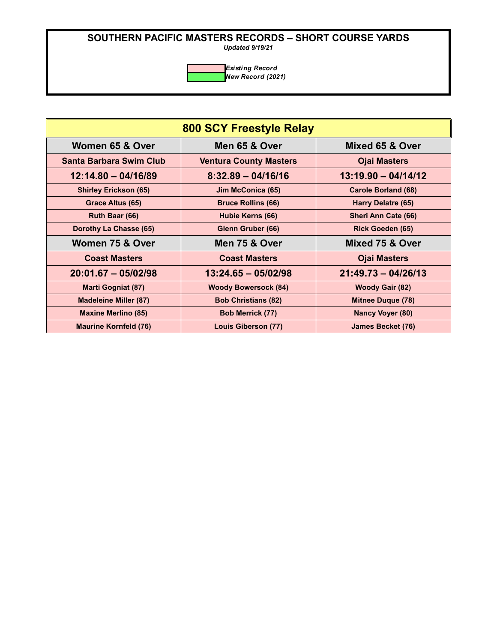*Updated 9/19/21*

| <b>800 SCY Freestyle Relay</b> |                               |                            |
|--------------------------------|-------------------------------|----------------------------|
| Women 65 & Over                | Men 65 & Over                 | Mixed 65 & Over            |
| Santa Barbara Swim Club        | <b>Ventura County Masters</b> | <b>Ojai Masters</b>        |
| $12:14.80 - 04/16/89$          | $8:32.89 - 04/16/16$          | $13:19.90 - 04/14/12$      |
| <b>Shirley Erickson (65)</b>   | Jim McConica (65)             | <b>Carole Borland (68)</b> |
| Grace Altus (65)               | <b>Bruce Rollins (66)</b>     | Harry Delatre (65)         |
| Ruth Baar (66)                 | Hubie Kerns (66)              | Sheri Ann Cate (66)        |
| Dorothy La Chasse (65)         | Glenn Gruber (66)             | <b>Rick Goeden (65)</b>    |
| Women 75 & Over                | Men 75 & Over                 | Mixed 75 & Over            |
| <b>Coast Masters</b>           | <b>Coast Masters</b>          | <b>Ojai Masters</b>        |
| $20:01.67 - 05/02/98$          | $13:24.65 - 05/02/98$         | $21:49.73 - 04/26/13$      |
| <b>Marti Gogniat (87)</b>      | <b>Woody Bowersock (84)</b>   | <b>Woody Gair (82)</b>     |
| <b>Madeleine Miller (87)</b>   | <b>Bob Christians (82)</b>    | <b>Mitnee Duque (78)</b>   |
| <b>Maxine Merlino (85)</b>     | <b>Bob Merrick (77)</b>       | <b>Nancy Voyer (80)</b>    |
| <b>Maurine Kornfeld (76)</b>   | Louis Giberson (77)           | <b>James Becket (76)</b>   |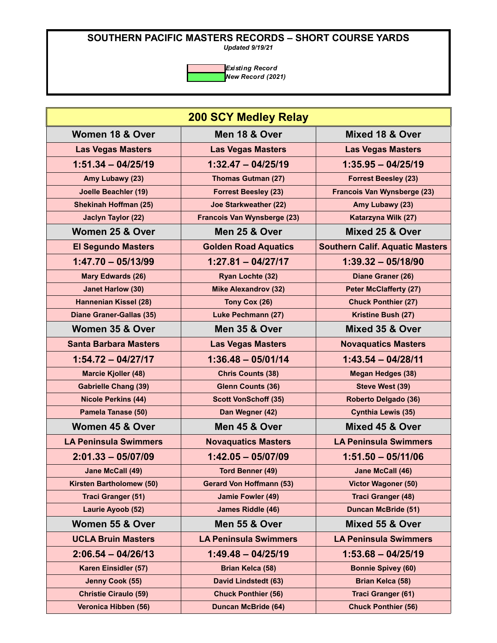*Updated 9/19/21*

| <b>200 SCY Medley Relay</b>     |                                 |                                        |
|---------------------------------|---------------------------------|----------------------------------------|
| Women 18 & Over                 | Men 18 & Over                   | Mixed 18 & Over                        |
| <b>Las Vegas Masters</b>        | <b>Las Vegas Masters</b>        | <b>Las Vegas Masters</b>               |
| $1:51.34 - 04/25/19$            | $1:32.47 - 04/25/19$            | $1:35.95 - 04/25/19$                   |
| Amy Lubawy (23)                 | <b>Thomas Gutman (27)</b>       | <b>Forrest Beesley (23)</b>            |
| <b>Joelle Beachler (19)</b>     | <b>Forrest Beesley (23)</b>     | Francois Van Wynsberge (23)            |
| <b>Shekinah Hoffman (25)</b>    | <b>Joe Starkweather (22)</b>    | Amy Lubawy (23)                        |
| Jaclyn Taylor (22)              | Francois Van Wynsberge (23)     | Katarzyna Wilk (27)                    |
| Women 25 & Over                 | Men 25 & Over                   | Mixed 25 & Over                        |
| <b>El Segundo Masters</b>       | <b>Golden Road Aquatics</b>     | <b>Southern Calif. Aquatic Masters</b> |
| $1:47.70 - 05/13/99$            | $1:27.81 - 04/27/17$            | $1:39.32 - 05/18/90$                   |
| Mary Edwards (26)               | Ryan Lochte (32)                | Diane Graner (26)                      |
| <b>Janet Harlow (30)</b>        | <b>Mike Alexandrov (32)</b>     | <b>Peter McClafferty (27)</b>          |
| <b>Hannenian Kissel (28)</b>    | Tony Cox (26)                   | <b>Chuck Ponthier (27)</b>             |
| <b>Diane Graner-Gallas (35)</b> | <b>Luke Pechmann (27)</b>       | Kristine Bush (27)                     |
| Women 35 & Over                 | Men 35 & Over                   | Mixed 35 & Over                        |
| <b>Santa Barbara Masters</b>    | <b>Las Vegas Masters</b>        | <b>Novaquatics Masters</b>             |
| $1:54.72 - 04/27/17$            | $1:36.48 - 05/01/14$            | $1:43.54 - 04/28/11$                   |
| <b>Marcie Kjoller (48)</b>      | <b>Chris Counts (38)</b>        | <b>Megan Hedges (38)</b>               |
| <b>Gabrielle Chang (39)</b>     | <b>Glenn Counts (36)</b>        | Steve West (39)                        |
| <b>Nicole Perkins (44)</b>      | <b>Scott VonSchoff (35)</b>     | Roberto Delgado (36)                   |
| Pamela Tanase (50)              | Dan Wegner (42)                 | <b>Cynthia Lewis (35)</b>              |
| Women 45 & Over                 | Men 45 & Over                   | Mixed 45 & Over                        |
| <b>LA Peninsula Swimmers</b>    | <b>Novaquatics Masters</b>      | <b>LA Peninsula Swimmers</b>           |
| $2:01.33 - 05/07/09$            | $1:42.05 - 05/07/09$            | $1:51.50 - 05/11/06$                   |
| Jane McCall (49)                | <b>Tord Benner (49)</b>         | Jane McCall (46)                       |
| <b>Kirsten Bartholomew (50)</b> | <b>Gerard Von Hoffmann (53)</b> | <b>Victor Wagoner (50)</b>             |
| Traci Granger (51)              | <b>Jamie Fowler (49)</b>        | Traci Granger (48)                     |
| Laurie Ayoob (52)               | James Riddle (46)               | <b>Duncan McBride (51)</b>             |
| Women 55 & Over                 | Men 55 & Over                   | Mixed 55 & Over                        |
| <b>UCLA Bruin Masters</b>       | <b>LA Peninsula Swimmers</b>    | <b>LA Peninsula Swimmers</b>           |
| $2:06.54 - 04/26/13$            | $1:49.48 - 04/25/19$            | $1:53.68 - 04/25/19$                   |
| Karen Einsidler (57)            | <b>Brian Kelca (58)</b>         | <b>Bonnie Spivey (60)</b>              |
| Jenny Cook (55)                 | David Lindstedt (63)            | <b>Brian Kelca (58)</b>                |
| <b>Christie Ciraulo (59)</b>    | <b>Chuck Ponthier (56)</b>      | Traci Granger (61)                     |
| Veronica Hibben (56)            | <b>Duncan McBride (64)</b>      | <b>Chuck Ponthier (56)</b>             |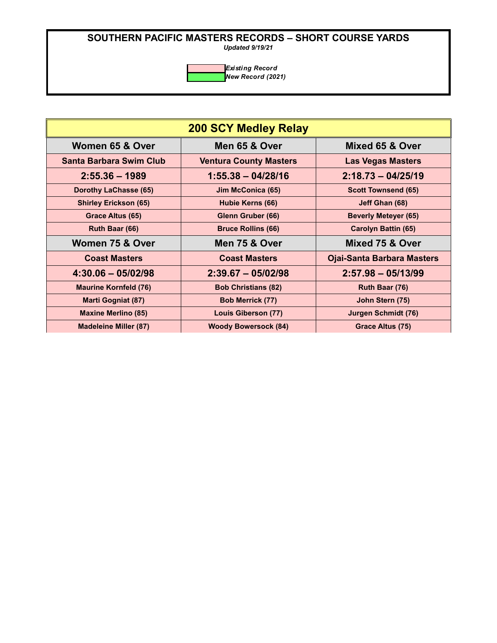*Updated 9/19/21*

| <b>200 SCY Medley Relay</b>  |                               |                                   |
|------------------------------|-------------------------------|-----------------------------------|
| Women 65 & Over              | Men 65 & Over                 | Mixed 65 & Over                   |
| Santa Barbara Swim Club      | <b>Ventura County Masters</b> | <b>Las Vegas Masters</b>          |
| $2:55.36 - 1989$             | $1:55.38 - 04/28/16$          | $2:18.73 - 04/25/19$              |
| Dorothy LaChasse (65)        | Jim McConica (65)             | <b>Scott Townsend (65)</b>        |
| <b>Shirley Erickson (65)</b> | Hubie Kerns (66)              | Jeff Ghan (68)                    |
| Grace Altus (65)             | Glenn Gruber (66)             | <b>Beverly Meteyer (65)</b>       |
| Ruth Baar (66)               | <b>Bruce Rollins (66)</b>     | <b>Carolyn Battin (65)</b>        |
| Women 75 & Over              | Men 75 & Over                 | Mixed 75 & Over                   |
| <b>Coast Masters</b>         | <b>Coast Masters</b>          | <b>Ojai-Santa Barbara Masters</b> |
| $4:30.06 - 05/02/98$         | $2:39.67 - 05/02/98$          | $2:57.98 - 05/13/99$              |
| <b>Maurine Kornfeld (76)</b> | <b>Bob Christians (82)</b>    | Ruth Baar (76)                    |
| <b>Marti Gogniat (87)</b>    | <b>Bob Merrick (77)</b>       | John Stern (75)                   |
| <b>Maxine Merlino (85)</b>   | Louis Giberson (77)           | <b>Jurgen Schmidt (76)</b>        |
| <b>Madeleine Miller (87)</b> | <b>Woody Bowersock (84)</b>   | <b>Grace Altus (75)</b>           |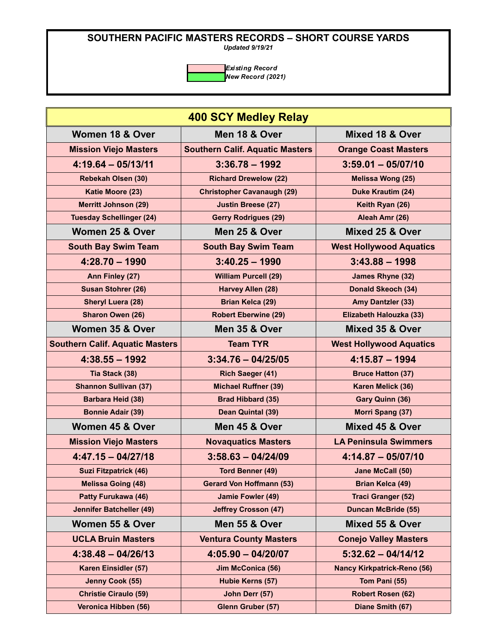*Updated 9/19/21*

| <b>400 SCY Medley Relay</b>            |                                        |                                    |
|----------------------------------------|----------------------------------------|------------------------------------|
| Women 18 & Over                        | Men 18 & Over                          | Mixed 18 & Over                    |
| <b>Mission Viejo Masters</b>           | <b>Southern Calif. Aquatic Masters</b> | <b>Orange Coast Masters</b>        |
| $4:19.64 - 05/13/11$                   | $3:36.78 - 1992$                       | $3:59.01 - 05/07/10$               |
| <b>Rebekah Olsen (30)</b>              | <b>Richard Drewelow (22)</b>           | <b>Melissa Wong (25)</b>           |
| Katie Moore (23)                       | <b>Christopher Cavanaugh (29)</b>      | Duke Krautim (24)                  |
| <b>Merritt Johnson (29)</b>            | <b>Justin Breese (27)</b>              | Keith Ryan (26)                    |
| <b>Tuesday Schellinger (24)</b>        | <b>Gerry Rodrigues (29)</b>            | Aleah Amr (26)                     |
| Women 25 & Over                        | Men 25 & Over                          | Mixed 25 & Over                    |
| <b>South Bay Swim Team</b>             | <b>South Bay Swim Team</b>             | <b>West Hollywood Aquatics</b>     |
| $4:28.70 - 1990$                       | $3:40.25 - 1990$                       | $3:43.88 - 1998$                   |
| Ann Finley (27)                        | <b>William Purcell (29)</b>            | James Rhyne (32)                   |
| <b>Susan Stohrer (26)</b>              | Harvey Allen (28)                      | <b>Donald Skeoch (34)</b>          |
| <b>Sheryl Luera (28)</b>               | <b>Brian Kelca (29)</b>                | Amy Dantzler (33)                  |
| <b>Sharon Owen (26)</b>                | <b>Robert Eberwine (29)</b>            | Elizabeth Halouzka (33)            |
| Women 35 & Over                        | Men 35 & Over                          | Mixed 35 & Over                    |
| <b>Southern Calif. Aquatic Masters</b> | <b>Team TYR</b>                        | <b>West Hollywood Aquatics</b>     |
| $4:38.55 - 1992$                       | $3:34.76 - 04/25/05$                   | $4:15.87 - 1994$                   |
| Tia Stack (38)                         | <b>Rich Saeger (41)</b>                | <b>Bruce Hatton (37)</b>           |
| <b>Shannon Sullivan (37)</b>           | <b>Michael Ruffner (39)</b>            | Karen Melick (36)                  |
| Barbara Heid (38)                      | <b>Brad Hibbard (35)</b>               | Gary Quinn (36)                    |
| <b>Bonnie Adair (39)</b>               | Dean Quintal (39)                      | Morri Spang (37)                   |
| Women 45 & Over                        | Men 45 & Over                          | Mixed 45 & Over                    |
| <b>Mission Viejo Masters</b>           | <b>Novaquatics Masters</b>             | <b>LA Peninsula Swimmers</b>       |
| $4:47.15 - 04/27/18$                   | $3:58.63 - 04/24/09$                   | $4:14.87 - 05/07/10$               |
| <b>Suzi Fitzpatrick (46)</b>           | <b>Tord Benner (49)</b>                | Jane McCall (50)                   |
| <b>Melissa Going (48)</b>              | <b>Gerard Von Hoffmann (53)</b>        | <b>Brian Kelca (49)</b>            |
| Patty Furukawa (46)                    | Jamie Fowler (49)                      | <b>Traci Granger (52)</b>          |
| <b>Jennifer Batcheller (49)</b>        | <b>Jeffrey Crosson (47)</b>            | <b>Duncan McBride (55)</b>         |
| Women 55 & Over                        | Men 55 & Over                          | Mixed 55 & Over                    |
| <b>UCLA Bruin Masters</b>              | <b>Ventura County Masters</b>          | <b>Conejo Valley Masters</b>       |
| $4:38.48 - 04/26/13$                   | $4:05.90 - 04/20/07$                   | $5:32.62 - 04/14/12$               |
| Karen Einsidler (57)                   | Jim McConica (56)                      | <b>Nancy Kirkpatrick-Reno (56)</b> |
| Jenny Cook (55)                        | Hubie Kerns (57)                       | Tom Pani (55)                      |
| <b>Christie Ciraulo (59)</b>           | John Derr (57)                         | <b>Robert Rosen (62)</b>           |
| Veronica Hibben (56)                   | Glenn Gruber (57)                      | Diane Smith (67)                   |